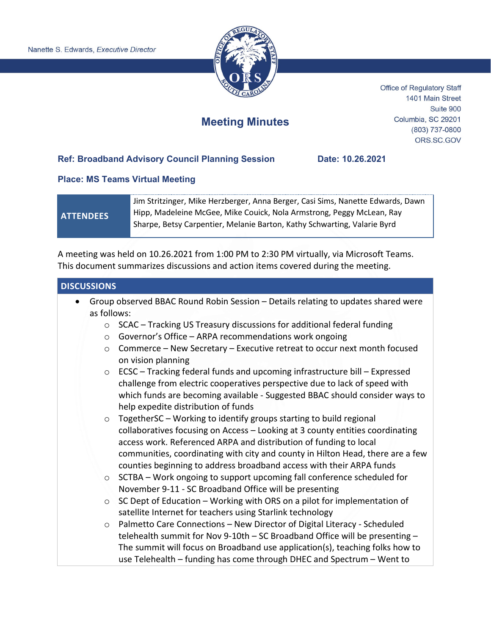

Office of Regulatory Staff 1401 Main Street Suite 900 Columbia, SC 29201 (803) 737-0800 ORS.SC.GOV

# **Meeting Minutes**

### **Ref: Broadband Advisory Council Planning Session Date: 10.26.2021**

#### **Place: MS Teams Virtual Meeting**

## **ATTENDEES**

Jim Stritzinger, Mike Herzberger, Anna Berger, Casi Sims, Nanette Edwards, Dawn Hipp, Madeleine McGee, Mike Couick, Nola Armstrong, Peggy McLean, Ray Sharpe, Betsy Carpentier, Melanie Barton, Kathy Schwarting, Valarie Byrd

A meeting was held on 10.26.2021 from 1:00 PM to 2:30 PM virtually, via Microsoft Teams. This document summarizes discussions and action items covered during the meeting.

#### **DISCUSSIONS**

- Group observed BBAC Round Robin Session Details relating to updates shared were as follows:
	- o SCAC Tracking US Treasury discussions for additional federal funding
	- o Governor's Office ARPA recommendations work ongoing
	- $\circ$  Commerce New Secretary Executive retreat to occur next month focused on vision planning
	- $\circ$  ECSC Tracking federal funds and upcoming infrastructure bill Expressed challenge from electric cooperatives perspective due to lack of speed with which funds are becoming available - Suggested BBAC should consider ways to help expedite distribution of funds
	- $\circ$  TogetherSC Working to identify groups starting to build regional collaboratives focusing on Access – Looking at 3 county entities coordinating access work. Referenced ARPA and distribution of funding to local communities, coordinating with city and county in Hilton Head, there are a few counties beginning to address broadband access with their ARPA funds
	- $\circ$  SCTBA Work ongoing to support upcoming fall conference scheduled for November 9-11 - SC Broadband Office will be presenting
	- $\circ$  SC Dept of Education Working with ORS on a pilot for implementation of satellite Internet for teachers using Starlink technology
	- o Palmetto Care Connections New Director of Digital Literacy Scheduled telehealth summit for Nov 9-10th – SC Broadband Office will be presenting – The summit will focus on Broadband use application(s), teaching folks how to use Telehealth – funding has come through DHEC and Spectrum – Went to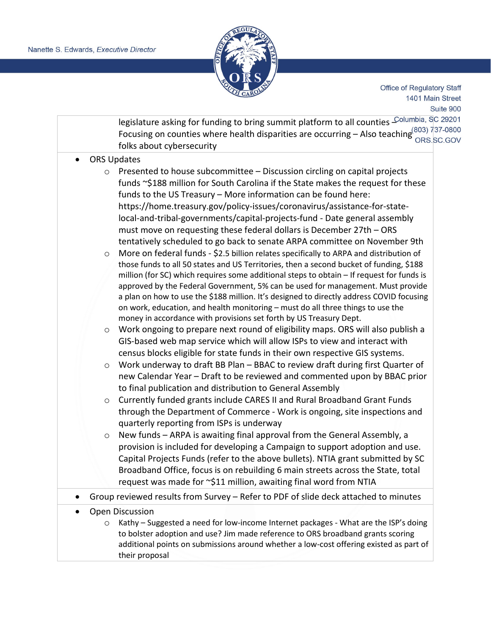

Office of Regulatory Staff 1401 Main Street Suite 900

legislature asking for funding to bring summit platform to all counties Columbia, SC 29201 Focusing on counties where health disparities are occurring – Also teaching (803) 737-0800 folks about cybersecurity

- ORS Updates
	- o Presented to house subcommittee Discussion circling on capital projects funds ~\$188 million for South Carolina if the State makes the request for these funds to the US Treasury – More information can be found here: [https://home.treasury.gov/policy-issues/coronavirus/assistance-for-state](https://home.treasury.gov/policy-issues/coronavirus/assistance-for-state-local-and-tribal-governments/capital-projects-fund)[local-and-tribal-governments/capital-projects-fund](https://home.treasury.gov/policy-issues/coronavirus/assistance-for-state-local-and-tribal-governments/capital-projects-fund) - Date general assembly must move on requesting these federal dollars is December 27th – ORS tentatively scheduled to go back to senate ARPA committee on November 9th
	- $\circ$  More on federal funds \$2.5 billion relates specifically to ARPA and distribution of those funds to all 50 states and US Territories, then a second bucket of funding, \$188 million (for SC) which requires some additional steps to obtain – If request for funds is approved by the Federal Government, 5% can be used for management. Must provide a plan on how to use the \$188 million. It's designed to directly address COVID focusing on work, education, and health monitoring – must do all three things to use the money in accordance with provisions set forth by US Treasury Dept.
	- o Work ongoing to prepare next round of eligibility maps. ORS will also publish a GIS-based web map service which will allow ISPs to view and interact with census blocks eligible for state funds in their own respective GIS systems.
	- $\circ$  Work underway to draft BB Plan BBAC to review draft during first Quarter of new Calendar Year – Draft to be reviewed and commented upon by BBAC prior to final publication and distribution to General Assembly
	- o Currently funded grants include CARES II and Rural Broadband Grant Funds through the Department of Commerce - Work is ongoing, site inspections and quarterly reporting from ISPs is underway
	- o New funds ARPA is awaiting final approval from the General Assembly, a provision is included for developing a Campaign to support adoption and use. Capital Projects Funds (refer to the above bullets). NTIA grant submitted by SC Broadband Office, focus is on rebuilding 6 main streets across the State, total request was made for ~\$11 million, awaiting final word from NTIA
- Group reviewed results from Survey Refer to PDF of slide deck attached to minutes
- Open Discussion
	- o Kathy Suggested a need for low-income Internet packages What are the ISP's doing to bolster adoption and use? Jim made reference to ORS broadband grants scoring additional points on submissions around whether a low-cost offering existed as part of their proposal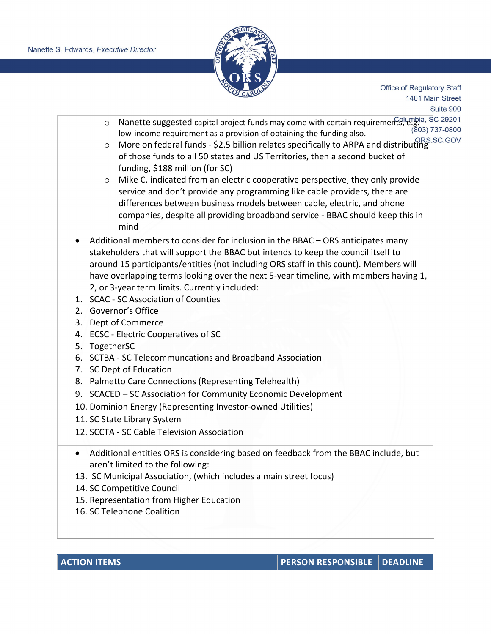

Office of Regulatory Staff 1401 Main Street Suite 900

- o Nanette suggested capital project funds may come with certain requirements, e.g. SC 29201<br>(803) 737-0800 (803) 737-0800 low-income requirement as a provision of obtaining the funding also.
- o More on federal funds \$2.5 billion relates specifically to ARPA and distributing of those funds to all 50 states and US Territories, then a second bucket of funding, \$188 million (for SC)
- o Mike C. indicated from an electric cooperative perspective, they only provide service and don't provide any programming like cable providers, there are differences between business models between cable, electric, and phone companies, despite all providing broadband service - BBAC should keep this in mind
- Additional members to consider for inclusion in the BBAC ORS anticipates many stakeholders that will support the BBAC but intends to keep the council itself to around 15 participants/entities (not including ORS staff in this count). Members will have overlapping terms looking over the next 5-year timeline, with members having 1, 2, or 3-year term limits. Currently included:
- 1. SCAC SC Association of Counties
- 2. Governor's Office
- 3. Dept of Commerce
- 4. ECSC Electric Cooperatives of SC
- 5. TogetherSC
- 6. SCTBA SC Telecommuncations and Broadband Association
- 7. SC Dept of Education
- 8. Palmetto Care Connections (Representing Telehealth)
- 9. SCACED SC Association for Community Economic Development
- 10. Dominion Energy (Representing Investor-owned Utilities)
- 11. SC State Library System
- 12. SCCTA SC Cable Television Association
- Additional entities ORS is considering based on feedback from the BBAC include, but aren't limited to the following:
- 13. SC Municipal Association, (which includes a main street focus)
- 14. SC Competitive Council
- 15. Representation from Higher Education
- 16. SC Telephone Coalition